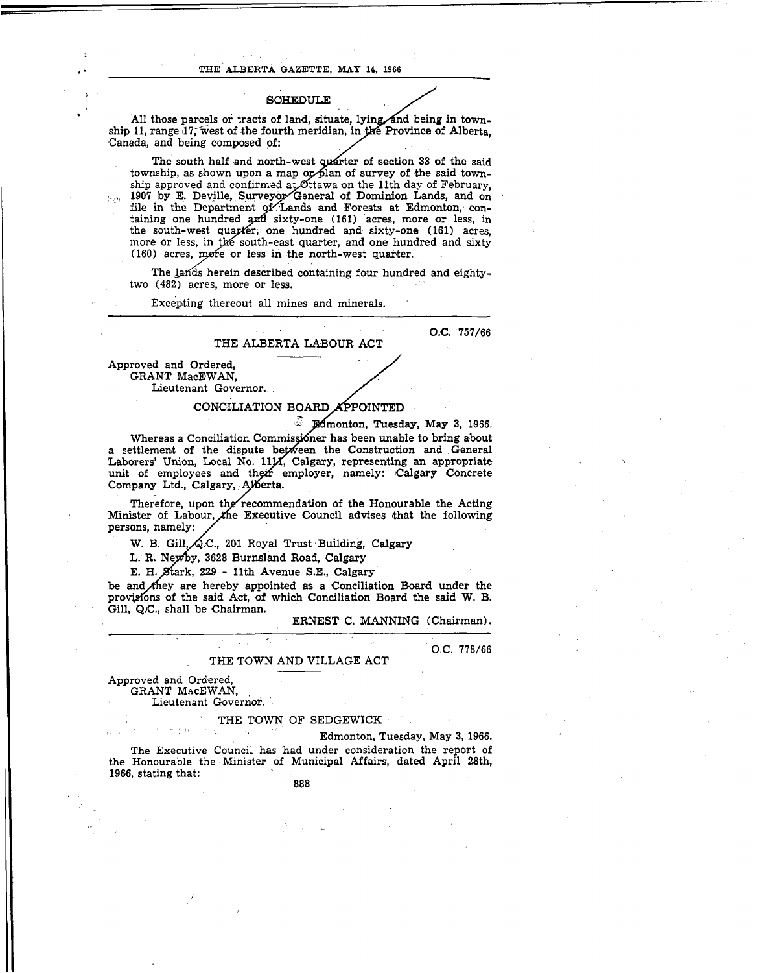O.C. **778166** 

## THE TOWN AND VILLAGE ACT

Approved and Ordered, and the state of the state of the Approved and Ordered, and the S GRANT MACEWAN, Lieutenant Governor.

THE TOWN OF SEDGEWICK Edmonton, Tuesday, May **3, 19%.**  The Executive Council has had under consideration the report of the Honourable the Minister of Municipal Affairs, dated April 28th, **1966,** stating that: **888**